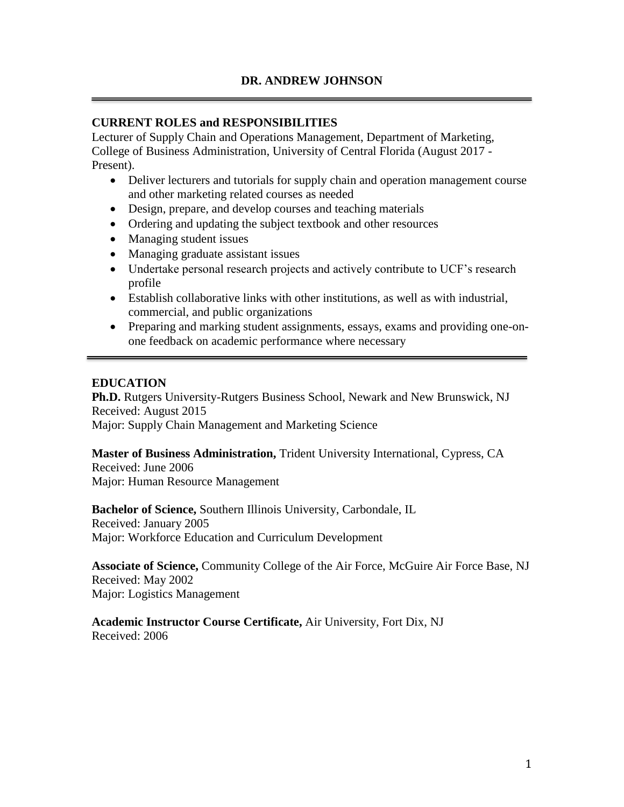## **DR. ANDREW JOHNSON**

### **CURRENT ROLES and RESPONSIBILITIES**

Lecturer of Supply Chain and Operations Management, Department of Marketing, College of Business Administration, University of Central Florida (August 2017 - Present).

- Deliver lecturers and tutorials for supply chain and operation management course and other marketing related courses as needed
- Design, prepare, and develop courses and teaching materials
- Ordering and updating the subject textbook and other resources
- Managing student issues
- Managing graduate assistant issues
- Undertake personal research projects and actively contribute to UCF's research profile
- Establish collaborative links with other institutions, as well as with industrial, commercial, and public organizations
- Preparing and marking student assignments, essays, exams and providing one-onone feedback on academic performance where necessary

### **EDUCATION**

**Ph.D.** Rutgers University-Rutgers Business School, Newark and New Brunswick, NJ Received: August 2015 Major: Supply Chain Management and Marketing Science

## **Master of Business Administration,** Trident University International, Cypress, CA

Received: June 2006 Major: Human Resource Management

**Bachelor of Science,** Southern Illinois University, Carbondale, IL Received: January 2005 Major: Workforce Education and Curriculum Development

**Associate of Science,** Community College of the Air Force, McGuire Air Force Base, NJ Received: May 2002 Major: Logistics Management

**Academic Instructor Course Certificate,** Air University, Fort Dix, NJ Received: 2006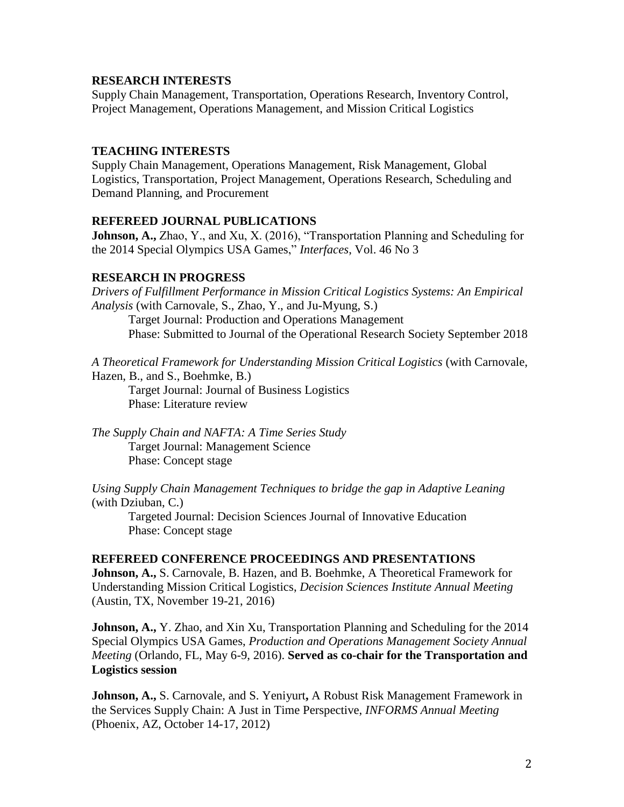### **RESEARCH INTERESTS**

Supply Chain Management, Transportation, Operations Research, Inventory Control, Project Management, Operations Management, and Mission Critical Logistics

### **TEACHING INTERESTS**

Supply Chain Management, Operations Management, Risk Management, Global Logistics, Transportation, Project Management, Operations Research, Scheduling and Demand Planning, and Procurement

### **REFEREED JOURNAL PUBLICATIONS**

Johnson, A., Zhao, Y., and Xu, X. (2016), "Transportation Planning and Scheduling for the 2014 Special Olympics USA Games," *Interfaces*, Vol. 46 No 3

### **RESEARCH IN PROGRESS**

*Drivers of Fulfillment Performance in Mission Critical Logistics Systems: An Empirical Analysis* (with Carnovale, S., Zhao, Y., and Ju-Myung, S.)

Target Journal: Production and Operations Management Phase: Submitted to Journal of the Operational Research Society September 2018

*A Theoretical Framework for Understanding Mission Critical Logistics* (with Carnovale, Hazen, B., and S., Boehmke, B.) Target Journal: Journal of Business Logistics Phase: Literature review

*The Supply Chain and NAFTA: A Time Series Study* Target Journal: Management Science Phase: Concept stage

*Using Supply Chain Management Techniques to bridge the gap in Adaptive Leaning*  (with Dziuban, C.)

Targeted Journal: Decision Sciences Journal of Innovative Education Phase: Concept stage

### **REFEREED CONFERENCE PROCEEDINGS AND PRESENTATIONS**

**Johnson, A.,** S. Carnovale, B. Hazen, and B. Boehmke, A Theoretical Framework for Understanding Mission Critical Logistics, *Decision Sciences Institute Annual Meeting*  (Austin, TX, November 19-21, 2016)

**Johnson, A.,** Y. Zhao, and Xin Xu, Transportation Planning and Scheduling for the 2014 Special Olympics USA Games, *Production and Operations Management Society Annual Meeting* (Orlando, FL, May 6-9, 2016). **Served as co-chair for the Transportation and Logistics session**

**Johnson, A.,** S. Carnovale, and S. Yeniyurt**,** A Robust Risk Management Framework in the Services Supply Chain: A Just in Time Perspective, *INFORMS Annual Meeting*  (Phoenix, AZ, October 14-17, 2012)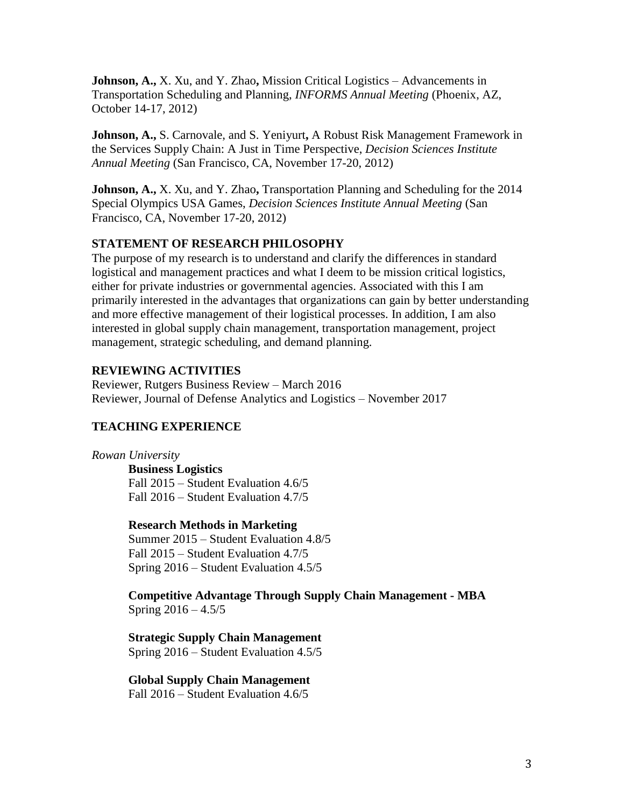**Johnson, A.,** X. Xu, and Y. Zhao**,** Mission Critical Logistics – Advancements in Transportation Scheduling and Planning, *INFORMS Annual Meeting* (Phoenix, AZ, October 14-17, 2012)

**Johnson, A.,** S. Carnovale, and S. Yeniyurt**,** A Robust Risk Management Framework in the Services Supply Chain: A Just in Time Perspective, *Decision Sciences Institute Annual Meeting* (San Francisco, CA, November 17-20, 2012)

**Johnson, A.,** X. Xu, and Y. Zhao, Transportation Planning and Scheduling for the 2014 Special Olympics USA Games, *Decision Sciences Institute Annual Meeting* (San Francisco, CA, November 17-20, 2012)

## **STATEMENT OF RESEARCH PHILOSOPHY**

The purpose of my research is to understand and clarify the differences in standard logistical and management practices and what I deem to be mission critical logistics, either for private industries or governmental agencies. Associated with this I am primarily interested in the advantages that organizations can gain by better understanding and more effective management of their logistical processes. In addition, I am also interested in global supply chain management, transportation management, project management, strategic scheduling, and demand planning.

# **REVIEWING ACTIVITIES**

Reviewer, Rutgers Business Review – March 2016 Reviewer, Journal of Defense Analytics and Logistics – November 2017

# **TEACHING EXPERIENCE**

*Rowan University*

**Business Logistics** Fall 2015 – Student Evaluation 4.6/5 Fall 2016 – Student Evaluation 4.7/5

**Research Methods in Marketing**

Summer 2015 – Student Evaluation 4.8/5 Fall 2015 – Student Evaluation 4.7/5 Spring 2016 – Student Evaluation 4.5/5

**Competitive Advantage Through Supply Chain Management - MBA** Spring 2016 – 4.5/5

**Strategic Supply Chain Management** Spring 2016 – Student Evaluation 4.5/5

# **Global Supply Chain Management**

Fall 2016 – Student Evaluation 4.6/5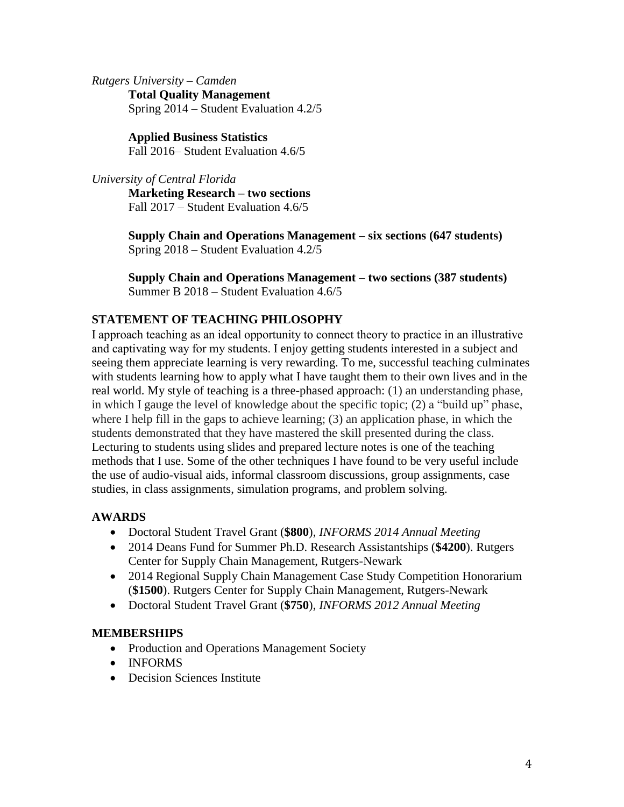*Rutgers University – Camden* **Total Quality Management** Spring 2014 – Student Evaluation 4.2/5

> **Applied Business Statistics**  Fall 2016– Student Evaluation 4.6/5

*University of Central Florida* **Marketing Research – two sections** Fall 2017 – Student Evaluation 4.6/5

> **Supply Chain and Operations Management – six sections (647 students)** Spring 2018 – Student Evaluation 4.2/5

**Supply Chain and Operations Management – two sections (387 students)** Summer B 2018 – Student Evaluation 4.6/5

# **STATEMENT OF TEACHING PHILOSOPHY**

I approach teaching as an ideal opportunity to connect theory to practice in an illustrative and captivating way for my students. I enjoy getting students interested in a subject and seeing them appreciate learning is very rewarding. To me, successful teaching culminates with students learning how to apply what I have taught them to their own lives and in the real world. My style of teaching is a three-phased approach: (1) an understanding phase, in which I gauge the level of knowledge about the specific topic; (2) a "build up" phase, where I help fill in the gaps to achieve learning; (3) an application phase, in which the students demonstrated that they have mastered the skill presented during the class. Lecturing to students using slides and prepared lecture notes is one of the teaching methods that I use. Some of the other techniques I have found to be very useful include the use of audio-visual aids, informal classroom discussions, group assignments, case studies, in class assignments, simulation programs, and problem solving.

# **AWARDS**

- Doctoral Student Travel Grant (**\$800**), *INFORMS 2014 Annual Meeting*
- 2014 Deans Fund for Summer Ph.D. Research Assistantships (**\$4200**). Rutgers Center for Supply Chain Management, Rutgers-Newark
- 2014 Regional Supply Chain Management Case Study Competition Honorarium (**\$1500**). Rutgers Center for Supply Chain Management, Rutgers-Newark
- Doctoral Student Travel Grant (**\$750**), *INFORMS 2012 Annual Meeting*

# **MEMBERSHIPS**

- Production and Operations Management Society
- INFORMS
- Decision Sciences Institute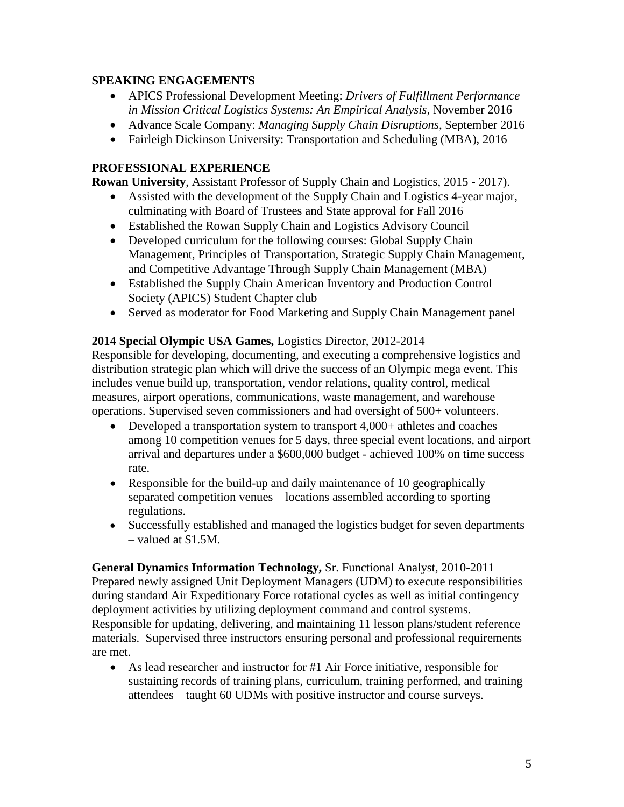## **SPEAKING ENGAGEMENTS**

- APICS Professional Development Meeting: *Drivers of Fulfillment Performance in Mission Critical Logistics Systems: An Empirical Analysis*, November 2016
- Advance Scale Company: *Managing Supply Chain Disruptions*, September 2016
- Fairleigh Dickinson University: Transportation and Scheduling (MBA), 2016

## **PROFESSIONAL EXPERIENCE**

**Rowan University**, Assistant Professor of Supply Chain and Logistics, 2015 - 2017).

- Assisted with the development of the Supply Chain and Logistics 4-year major, culminating with Board of Trustees and State approval for Fall 2016
- Established the Rowan Supply Chain and Logistics Advisory Council
- Developed curriculum for the following courses: Global Supply Chain Management, Principles of Transportation, Strategic Supply Chain Management, and Competitive Advantage Through Supply Chain Management (MBA)
- Established the Supply Chain American Inventory and Production Control Society (APICS) Student Chapter club
- Served as moderator for Food Marketing and Supply Chain Management panel

## **2014 Special Olympic USA Games,** Logistics Director, 2012-2014

Responsible for developing, documenting, and executing a comprehensive logistics and distribution strategic plan which will drive the success of an Olympic mega event. This includes venue build up, transportation, vendor relations, quality control, medical measures, airport operations, communications, waste management, and warehouse operations. Supervised seven commissioners and had oversight of 500+ volunteers.

- Developed a transportation system to transport 4,000+ athletes and coaches among 10 competition venues for 5 days, three special event locations, and airport arrival and departures under a \$600,000 budget - achieved 100% on time success rate.
- Responsible for the build-up and daily maintenance of 10 geographically separated competition venues – locations assembled according to sporting regulations.
- Successfully established and managed the logistics budget for seven departments – valued at \$1.5M.

**General Dynamics Information Technology,** Sr. Functional Analyst, 2010-2011 Prepared newly assigned Unit Deployment Managers (UDM) to execute responsibilities during standard Air Expeditionary Force rotational cycles as well as initial contingency deployment activities by utilizing deployment command and control systems. Responsible for updating, delivering, and maintaining 11 lesson plans/student reference materials. Supervised three instructors ensuring personal and professional requirements are met.

• As lead researcher and instructor for #1 Air Force initiative, responsible for sustaining records of training plans, curriculum, training performed, and training attendees – taught 60 UDMs with positive instructor and course surveys.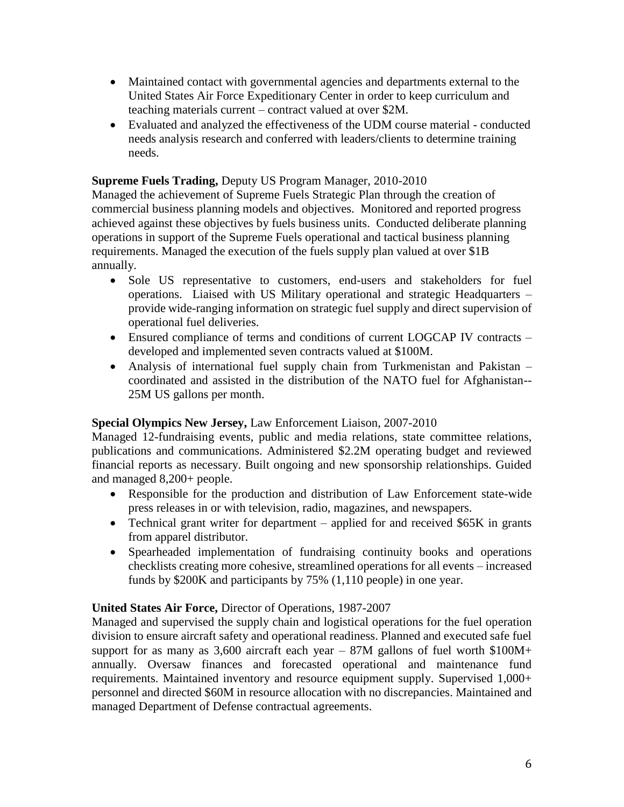- Maintained contact with governmental agencies and departments external to the United States Air Force Expeditionary Center in order to keep curriculum and teaching materials current – contract valued at over \$2M.
- Evaluated and analyzed the effectiveness of the UDM course material conducted needs analysis research and conferred with leaders/clients to determine training needs.

## **Supreme Fuels Trading,** Deputy US Program Manager, 2010-2010

Managed the achievement of Supreme Fuels Strategic Plan through the creation of commercial business planning models and objectives. Monitored and reported progress achieved against these objectives by fuels business units. Conducted deliberate planning operations in support of the Supreme Fuels operational and tactical business planning requirements. Managed the execution of the fuels supply plan valued at over \$1B annually.

- Sole US representative to customers, end-users and stakeholders for fuel operations. Liaised with US Military operational and strategic Headquarters – provide wide-ranging information on strategic fuel supply and direct supervision of operational fuel deliveries.
- Ensured compliance of terms and conditions of current LOGCAP IV contracts developed and implemented seven contracts valued at \$100M.
- Analysis of international fuel supply chain from Turkmenistan and Pakistan coordinated and assisted in the distribution of the NATO fuel for Afghanistan-- 25M US gallons per month.

# **Special Olympics New Jersey,** Law Enforcement Liaison, 2007-2010

Managed 12-fundraising events, public and media relations, state committee relations, publications and communications. Administered \$2.2M operating budget and reviewed financial reports as necessary. Built ongoing and new sponsorship relationships. Guided and managed 8,200+ people.

- Responsible for the production and distribution of Law Enforcement state-wide press releases in or with television, radio, magazines, and newspapers.
- Technical grant writer for department applied for and received \$65K in grants from apparel distributor.
- Spearheaded implementation of fundraising continuity books and operations checklists creating more cohesive, streamlined operations for all events – increased funds by \$200K and participants by 75% (1,110 people) in one year.

# **United States Air Force,** Director of Operations, 1987-2007

Managed and supervised the supply chain and logistical operations for the fuel operation division to ensure aircraft safety and operational readiness. Planned and executed safe fuel support for as many as  $3,600$  aircraft each year –  $87M$  gallons of fuel worth  $$100M+$ annually. Oversaw finances and forecasted operational and maintenance fund requirements. Maintained inventory and resource equipment supply. Supervised 1,000+ personnel and directed \$60M in resource allocation with no discrepancies. Maintained and managed Department of Defense contractual agreements.